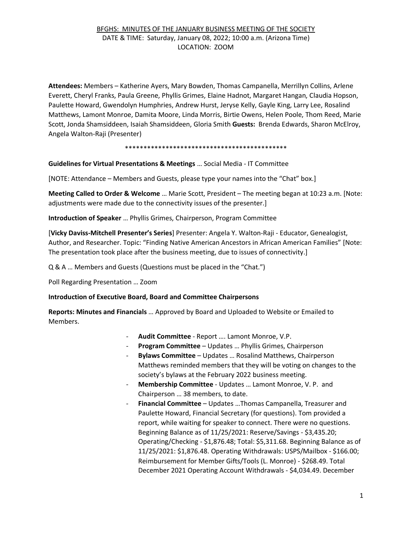## BFGHS: MINUTES OF THE JANUARY BUSINESS MEETING OF THE SOCIETY DATE & TIME: Saturday, January 08, 2022; 10:00 a.m. (Arizona Time) LOCATION: ZOOM

**Attendees:** Members – Katherine Ayers, Mary Bowden, Thomas Campanella, Merrillyn Collins, Arlene Everett, Cheryl Franks, Paula Greene, Phyllis Grimes, Elaine Hadnot, Margaret Hangan, Claudia Hopson, Paulette Howard, Gwendolyn Humphries, Andrew Hurst, Jeryse Kelly, Gayle King, Larry Lee, Rosalind Matthews, Lamont Monroe, Damita Moore, Linda Morris, Birtie Owens, Helen Poole, Thom Reed, Marie Scott, Jonda Shamsiddeen, Isaiah Shamsiddeen, Gloria Smith **Guests:** Brenda Edwards, Sharon McElroy, Angela Walton-Raji (Presenter)

## \*\*\*\*\*\*\*\*\*\*\*\*\*\*\*\*\*\*\*\*\*\*\*\*\*\*\*\*\*\*\*\*\*\*\*\*\*\*\*\*\*\*\*\*

**Guidelines for Virtual Presentations & Meetings** … Social Media - IT Committee

[NOTE: Attendance – Members and Guests, please type your names into the "Chat" box.]

**Meeting Called to Order & Welcome** … Marie Scott, President – The meeting began at 10:23 a.m. [Note: adjustments were made due to the connectivity issues of the presenter.]

**Introduction of Speaker** … Phyllis Grimes, Chairperson, Program Committee

[**Vicky Daviss-Mitchell Presenter's Series**] Presenter: Angela Y. Walton-Raji - Educator, Genealogist, Author, and Researcher. Topic: "Finding Native American Ancestors in African American Families" [Note: The presentation took place after the business meeting, due to issues of connectivity.]

Q & A … Members and Guests (Questions must be placed in the "Chat.")

Poll Regarding Presentation … Zoom

**Introduction of Executive Board, Board and Committee Chairpersons** 

**Reports: Minutes and Financials** … Approved by Board and Uploaded to Website or Emailed to Members.

- **Audit Committee** Report …. Lamont Monroe, V.P.
- **Program Committee** Updates … Phyllis Grimes, Chairperson
- **Bylaws Committee** Updates … Rosalind Matthews, Chairperson Matthews reminded members that they will be voting on changes to the society's bylaws at the February 2022 business meeting.
- Membership Committee Updates ... Lamont Monroe, V. P. and Chairperson … 38 members, to date.
- **Financial Committee**  Updates …Thomas Campanella, Treasurer and Paulette Howard, Financial Secretary (for questions). Tom provided a report, while waiting for speaker to connect. There were no questions. Beginning Balance as of 11/25/2021: Reserve/Savings - \$3,435.20; Operating/Checking - \$1,876.48; Total: \$5,311.68. Beginning Balance as of 11/25/2021: \$1,876.48. Operating Withdrawals: USPS/Mailbox - \$166.00; Reimbursement for Member Gifts/Tools (L. Monroe) - \$268.49. Total December 2021 Operating Account Withdrawals - \$4,034.49. December